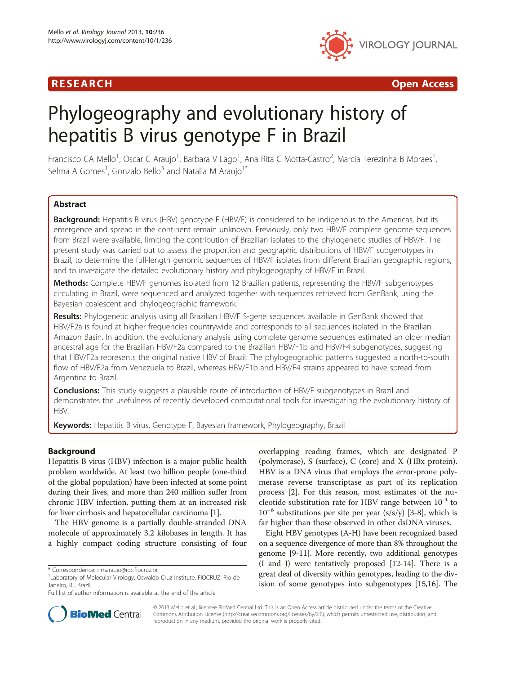

R E S EAR CH Open Access

# Phylogeography and evolutionary history of hepatitis B virus genotype F in Brazil

Francisco CA Mello<sup>1</sup>, Oscar C Araujo<sup>1</sup>, Barbara V Lago<sup>1</sup>, Ana Rita C Motta-Castro<sup>2</sup>, Marcia Terezinha B Moraes<sup>1</sup> , Selma A Gomes<sup>1</sup>, Gonzalo Bello<sup>3</sup> and Natalia M Araujo<sup>1\*</sup>

# Abstract

Background: Hepatitis B virus (HBV) genotype F (HBV/F) is considered to be indigenous to the Americas, but its emergence and spread in the continent remain unknown. Previously, only two HBV/F complete genome sequences from Brazil were available, limiting the contribution of Brazilian isolates to the phylogenetic studies of HBV/F. The present study was carried out to assess the proportion and geographic distributions of HBV/F subgenotypes in Brazil, to determine the full-length genomic sequences of HBV/F isolates from different Brazilian geographic regions, and to investigate the detailed evolutionary history and phylogeography of HBV/F in Brazil.

Methods: Complete HBV/F genomes isolated from 12 Brazilian patients, representing the HBV/F subgenotypes circulating in Brazil, were sequenced and analyzed together with sequences retrieved from GenBank, using the Bayesian coalescent and phylogeographic framework.

Results: Phylogenetic analysis using all Brazilian HBV/F S-gene sequences available in GenBank showed that HBV/F2a is found at higher frequencies countrywide and corresponds to all sequences isolated in the Brazilian Amazon Basin. In addition, the evolutionary analysis using complete genome sequences estimated an older median ancestral age for the Brazilian HBV/F2a compared to the Brazilian HBV/F1b and HBV/F4 subgenotypes, suggesting that HBV/F2a represents the original native HBV of Brazil. The phylogeographic patterns suggested a north-to-south flow of HBV/F2a from Venezuela to Brazil, whereas HBV/F1b and HBV/F4 strains appeared to have spread from Argentina to Brazil.

**Conclusions:** This study suggests a plausible route of introduction of HBV/F subgenotypes in Brazil and demonstrates the usefulness of recently developed computational tools for investigating the evolutionary history of HBV.

Keywords: Hepatitis B virus, Genotype F, Bayesian framework, Phylogeography, Brazil

# Background

Hepatitis B virus (HBV) infection is a major public health problem worldwide. At least two billion people (one-third of the global population) have been infected at some point during their lives, and more than 240 million suffer from chronic HBV infection, putting them at an increased risk for liver cirrhosis and hepatocellular carcinoma [[1](#page-6-0)].

The HBV genome is a partially double-stranded DNA molecule of approximately 3.2 kilobases in length. It has a highly compact coding structure consisting of four overlapping reading frames, which are designated P (polymerase), S (surface), C (core) and X (HBx protein). HBV is a DNA virus that employs the error-prone polymerase reverse transcriptase as part of its replication process [[2\]](#page-6-0). For this reason, most estimates of the nucleotide substitution rate for HBV range between  $10^{-4}$  to  $10^{-6}$  substitutions per site per year (s/s/y) [[3-8](#page-6-0)], which is far higher than those observed in other dsDNA viruses.

Eight HBV genotypes (A-H) have been recognized based on a sequence divergence of more than 8% throughout the genome [[9-11\]](#page-6-0). More recently, two additional genotypes (I and J) were tentatively proposed [[12](#page-6-0)-[14](#page-6-0)]. There is a great deal of diversity within genotypes, leading to the division of some genotypes into subgenotypes [[15,16](#page-6-0)]. The



© 2013 Mello et al.; licensee BioMed Central Ltd. This is an Open Access article distributed under the terms of the Creative Commons Attribution License [\(http://creativecommons.org/licenses/by/2.0\)](http://creativecommons.org/licenses/by/2.0), which permits unrestricted use, distribution, and reproduction in any medium, provided the original work is properly cited.

<sup>\*</sup> Correspondence: [nmaraujo@ioc.fiocruz.br](mailto:nmaraujo@ioc.fiocruz.br) <sup>1</sup>

Laboratory of Molecular Virology, Oswaldo Cruz Institute, FIOCRUZ, Rio de Janeiro, RJ, Brazil

Full list of author information is available at the end of the article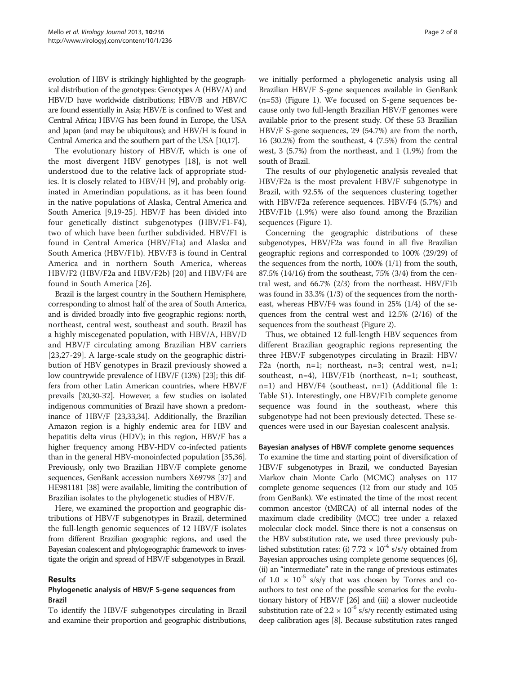evolution of HBV is strikingly highlighted by the geographical distribution of the genotypes: Genotypes A (HBV/A) and HBV/D have worldwide distributions; HBV/B and HBV/C are found essentially in Asia; HBV/E is confined to West and Central Africa; HBV/G has been found in Europe, the USA and Japan (and may be ubiquitous); and HBV/H is found in Central America and the southern part of the USA [\[10,17](#page-6-0)].

The evolutionary history of HBV/F, which is one of the most divergent HBV genotypes [\[18\]](#page-6-0), is not well understood due to the relative lack of appropriate studies. It is closely related to HBV/H [\[9\]](#page-6-0), and probably originated in Amerindian populations, as it has been found in the native populations of Alaska, Central America and South America [[9,19](#page-6-0)-[25](#page-6-0)]. HBV/F has been divided into four genetically distinct subgenotypes (HBV/F1-F4), two of which have been further subdivided. HBV/F1 is found in Central America (HBV/F1a) and Alaska and South America (HBV/F1b). HBV/F3 is found in Central America and in northern South America, whereas HBV/F2 (HBV/F2a and HBV/F2b) [\[20](#page-6-0)] and HBV/F4 are found in South America [[26\]](#page-7-0).

Brazil is the largest country in the Southern Hemisphere, corresponding to almost half of the area of South America, and is divided broadly into five geographic regions: north, northeast, central west, southeast and south. Brazil has a highly miscegenated population, with HBV/A, HBV/D and HBV/F circulating among Brazilian HBV carriers [[23](#page-6-0)[,27](#page-7-0)-[29\]](#page-7-0). A large-scale study on the geographic distribution of HBV genotypes in Brazil previously showed a low countrywide prevalence of HBV/F (13%) [[23](#page-6-0)]; this differs from other Latin American countries, where HBV/F prevails [\[20](#page-6-0)[,30-32\]](#page-7-0). However, a few studies on isolated indigenous communities of Brazil have shown a predominance of HBV/F [\[23,](#page-6-0)[33,34\]](#page-7-0). Additionally, the Brazilian Amazon region is a highly endemic area for HBV and hepatitis delta virus (HDV); in this region, HBV/F has a higher frequency among HBV-HDV co-infected patients than in the general HBV-monoinfected population [\[35,36](#page-7-0)]. Previously, only two Brazilian HBV/F complete genome sequences, GenBank accession numbers X69798 [[37](#page-7-0)] and HE981181 [\[38](#page-7-0)] were available, limiting the contribution of Brazilian isolates to the phylogenetic studies of HBV/F.

Here, we examined the proportion and geographic distributions of HBV/F subgenotypes in Brazil, determined the full-length genomic sequences of 12 HBV/F isolates from different Brazilian geographic regions, and used the Bayesian coalescent and phylogeographic framework to investigate the origin and spread of HBV/F subgenotypes in Brazil.

### Results

# Phylogenetic analysis of HBV/F S-gene sequences from Brazil

To identify the HBV/F subgenotypes circulating in Brazil and examine their proportion and geographic distributions,

we initially performed a phylogenetic analysis using all Brazilian HBV/F S-gene sequences available in GenBank (n=53) (Figure [1](#page-2-0)). We focused on S-gene sequences because only two full-length Brazilian HBV/F genomes were available prior to the present study. Of these 53 Brazilian HBV/F S-gene sequences, 29 (54.7%) are from the north, 16 (30.2%) from the southeast, 4 (7.5%) from the central west, 3 (5.7%) from the northeast, and 1 (1.9%) from the south of Brazil.

The results of our phylogenetic analysis revealed that HBV/F2a is the most prevalent HBV/F subgenotype in Brazil, with 92.5% of the sequences clustering together with HBV/F2a reference sequences. HBV/F4 (5.7%) and HBV/F1b (1.9%) were also found among the Brazilian sequences (Figure [1\)](#page-2-0).

Concerning the geographic distributions of these subgenotypes, HBV/F2a was found in all five Brazilian geographic regions and corresponded to 100% (29/29) of the sequences from the north, 100% (1/1) from the south, 87.5% (14/16) from the southeast, 75% (3/4) from the central west, and 66.7% (2/3) from the northeast. HBV/F1b was found in 33.3% (1/3) of the sequences from the northeast, whereas HBV/F4 was found in 25% (1/4) of the sequences from the central west and 12.5% (2/16) of the sequences from the southeast (Figure [2\)](#page-3-0).

Thus, we obtained 12 full-length HBV sequences from different Brazilian geographic regions representing the three HBV/F subgenotypes circulating in Brazil: HBV/ F2a (north,  $n=1$ ; northeast,  $n=3$ ; central west,  $n=1$ ; southeast, n=4), HBV/F1b (northeast, n=1; southeast, n=1) and HBV/F4 (southeast, n=1) (Additional file [1](#page-6-0): Table S1). Interestingly, one HBV/F1b complete genome sequence was found in the southeast, where this subgenotype had not been previously detected. These sequences were used in our Bayesian coalescent analysis.

### Bayesian analyses of HBV/F complete genome sequences

To examine the time and starting point of diversification of HBV/F subgenotypes in Brazil, we conducted Bayesian Markov chain Monte Carlo (MCMC) analyses on 117 complete genome sequences (12 from our study and 105 from GenBank). We estimated the time of the most recent common ancestor (tMRCA) of all internal nodes of the maximum clade credibility (MCC) tree under a relaxed molecular clock model. Since there is not a consensus on the HBV substitution rate, we used three previously published substitution rates: (i)  $7.72 \times 10^{-4}$  s/s/y obtained from Bayesian approaches using complete genome sequences [[6](#page-6-0)], (ii) an "intermediate" rate in the range of previous estimates of  $1.0 \times 10^{-5}$  s/s/y that was chosen by Torres and coauthors to test one of the possible scenarios for the evolutionary history of HBV/F [\[26](#page-7-0)] and (iii) a slower nucleotide substitution rate of  $2.2 \times 10^{-6}$  s/s/y recently estimated using deep calibration ages [\[8](#page-6-0)]. Because substitution rates ranged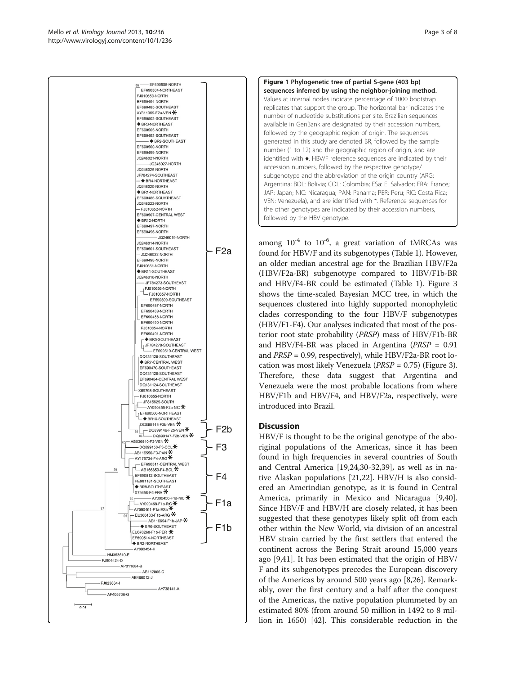<span id="page-2-0"></span>

Figure 1 Phylogenetic tree of partial S-gene (403 bp) sequences inferred by using the neighbor-joining method. Values at internal nodes indicate percentage of 1000 bootstrap replicates that support the group. The horizontal bar indicates the number of nucleotide substitutions per site. Brazilian sequences available in GenBank are designated by their accession numbers, followed by the geographic region of origin. The sequences generated in this study are denoted BR, followed by the sample number (1 to 12) and the geographic region of origin, and are identified with ♦. HBV/F reference sequences are indicated by their accession numbers, followed by the respective genotype/ subgenotype and the abbreviation of the origin country (ARG: Argentina; BOL: Bolivia; COL: Colombia; ESa: El Salvador; FRA: France; JAP: Japan; NIC: Nicaragua; PAN: Panama; PER: Peru; RIC: Costa Rica; VEN: Venezuela), and are identified with \*. Reference sequences for the other genotypes are indicated by their accession numbers, followed by the HBV genotype.

among  $10^{-4}$  to  $10^{-6}$ , a great variation of tMRCAs was found for HBV/F and its subgenotypes (Table [1](#page-3-0)). However, an older median ancestral age for the Brazilian HBV/F2a (HBV/F2a-BR) subgenotype compared to HBV/F1b-BR and HBV/F4-BR could be estimated (Table [1](#page-3-0)). Figure [3](#page-4-0) shows the time-scaled Bayesian MCC tree, in which the sequences clustered into highly supported monophyletic clades corresponding to the four HBV/F subgenotypes (HBV/F1-F4). Our analyses indicated that most of the posterior root state probability (PRSP) mass of HBV/F1b-BR and HBV/F4-BR was placed in Argentina ( $PRSP = 0.91$ and PRSP = 0.99, respectively), while HBV/F2a-BR root location was most likely Venezuela (PRSP = 0.75) (Figure [3](#page-4-0)). Therefore, these data suggest that Argentina and Venezuela were the most probable locations from where HBV/F1b and HBV/F4, and HBV/F2a, respectively, were introduced into Brazil.

# **Discussion**

HBV/F is thought to be the original genotype of the aboriginal populations of the Americas, since it has been found in high frequencies in several countries of South and Central America [[19,24,](#page-6-0)[30-32,39\]](#page-7-0), as well as in native Alaskan populations [[21](#page-6-0),[22](#page-6-0)]. HBV/H is also considered an Amerindian genotype, as it is found in Central America, primarily in Mexico and Nicaragua [\[9](#page-6-0)[,40](#page-7-0)]. Since HBV/F and HBV/H are closely related, it has been suggested that these genotypes likely split off from each other within the New World, via division of an ancestral HBV strain carried by the first settlers that entered the continent across the Bering Strait around 15,000 years ago [\[9](#page-6-0)[,41](#page-7-0)]. It has been estimated that the origin of HBV/ F and its subgenotypes precedes the European discovery of the Americas by around 500 years ago [[8](#page-6-0),[26](#page-7-0)]. Remarkably, over the first century and a half after the conquest of the Americas, the native population plummeted by an estimated 80% (from around 50 million in 1492 to 8 million in 1650) [\[42](#page-7-0)]. This considerable reduction in the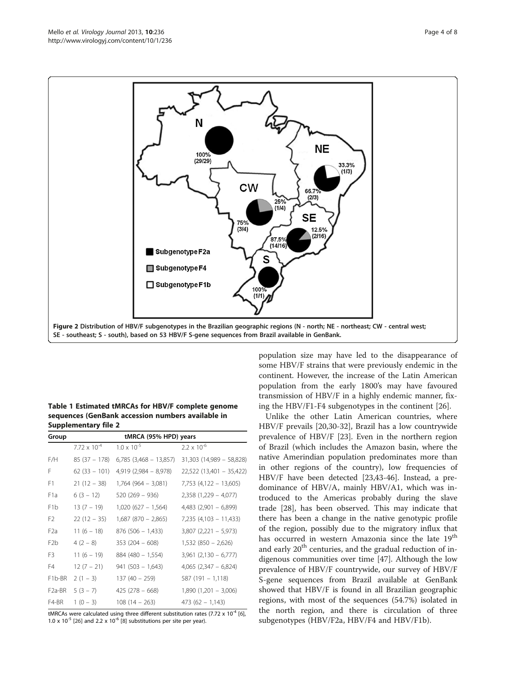<span id="page-3-0"></span>

Table 1 Estimated tMRCAs for HBV/F complete genome sequences (GenBank accession numbers available in Supplementary file 2

| Group               | tMRCA (95% HPD) years |                          |                            |
|---------------------|-----------------------|--------------------------|----------------------------|
|                     | $7.72 \times 10^{-4}$ | $1.0 \times 10^{-5}$     | $2.2 \times 10^{-6}$       |
| F/H                 | $85(37 - 178)$        | $6,785$ (3,468 – 13,857) | $31,303$ (14,989 - 58,828) |
| F                   | $62(33 - 101)$        | $4,919(2,984 - 8,978)$   | 22,522 (13,401 - 35,422)   |
| F1                  | $21(12 - 38)$         | $1,764(964 - 3,081)$     | $7,753$ (4,122 - 13,605)   |
| F <sub>1</sub> a    | $6(3 - 12)$           | $520(269 - 936)$         | $2,358$ (1,229 – 4,077)    |
| F <sub>1</sub> b    | $13(7 - 19)$          | $1,020(627 - 1,564)$     | $4,483$ (2,901 - 6,899)    |
| F <sub>2</sub>      | $22(12 - 35)$         | $1,687$ (870 - 2,865)    | $7,235$ (4,103 - 11,433)   |
| F <sub>2</sub> a    | $11(6 - 18)$          | $876(506 - 1,433)$       | $3,807$ (2,221 - 5,973)    |
| F <sub>2</sub> b    | $4(2-8)$              | $353(204 - 608)$         | $1,532(850 - 2,626)$       |
| F <sub>3</sub>      | $11(6 - 19)$          | $884(480 - 1,554)$       | $3,961$ $(2,130 - 6,777)$  |
| F4                  | $12(7 - 21)$          | $941(503 - 1,643)$       | $4,065$ $(2,347 - 6,824)$  |
| F <sub>1</sub> b-BR | $2(1 - 3)$            | $137(40 - 259)$          | $587(191 - 1,118)$         |
| F <sub>2</sub> a-BR | $5(3 - 7)$            | $425(278 - 668)$         | $1,890(1,201 - 3,006)$     |
| F4-BR               | $1(0 - 3)$            | $108(14 - 263)$          | $473(62 - 1,143)$          |

tMRCAs were calculated using three different substitution rates (7.72 x  $10^{-4}$  [[6](#page-6-0)], 1.0 x  $10^{-5}$  [\[26](#page-7-0)] and 2.2 x  $10^{-6}$  [\[8\]](#page-6-0) substitutions per site per year).

population size may have led to the disappearance of some HBV/F strains that were previously endemic in the continent. However, the increase of the Latin American population from the early 1800's may have favoured transmission of HBV/F in a highly endemic manner, fixing the HBV/F1-F4 subgenotypes in the continent [\[26](#page-7-0)].

Unlike the other Latin American countries, where HBV/F prevails [[20,](#page-6-0)[30-32\]](#page-7-0), Brazil has a low countrywide prevalence of HBV/F [\[23](#page-6-0)]. Even in the northern region of Brazil (which includes the Amazon basin, where the native Amerindian population predominates more than in other regions of the country), low frequencies of HBV/F have been detected [[23](#page-6-0),[43](#page-7-0)-[46\]](#page-7-0). Instead, a predominance of HBV/A, mainly HBV/A1, which was introduced to the Americas probably during the slave trade [[28\]](#page-7-0), has been observed. This may indicate that there has been a change in the native genotypic profile of the region, possibly due to the migratory influx that has occurred in western Amazonia since the late 19<sup>th</sup> and early 20<sup>th</sup> centuries, and the gradual reduction of indigenous communities over time [\[47](#page-7-0)]. Although the low prevalence of HBV/F countrywide, our survey of HBV/F S-gene sequences from Brazil available at GenBank showed that HBV/F is found in all Brazilian geographic regions, with most of the sequences (54.7%) isolated in the north region, and there is circulation of three subgenotypes (HBV/F2a, HBV/F4 and HBV/F1b).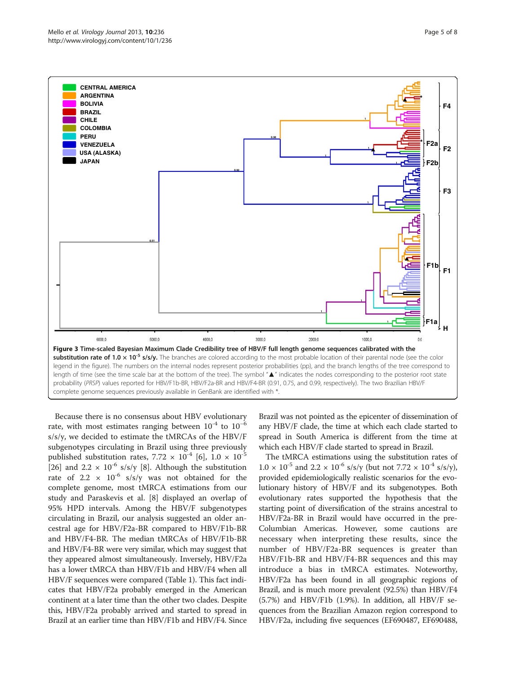<span id="page-4-0"></span>

Because there is no consensus about HBV evolutionary rate, with most estimates ranging between  $10^{-4}$  to  $10^{-6}$ s/s/y, we decided to estimate the tMRCAs of the HBV/F subgenotypes circulating in Brazil using three previously published substitution rates,  $7.72 \times 10^{-4}$  [[6\]](#page-6-0),  $1.0 \times 10^{-5}$ [[26\]](#page-7-0) and 2.2  $\times$  10<sup>-6</sup> s/s/y [\[8](#page-6-0)]. Although the substitution rate of 2.2  $\times$  10<sup>-6</sup> s/s/y was not obtained for the complete genome, most tMRCA estimations from our study and Paraskevis et al. [[8\]](#page-6-0) displayed an overlap of 95% HPD intervals. Among the HBV/F subgenotypes circulating in Brazil, our analysis suggested an older ancestral age for HBV/F2a-BR compared to HBV/F1b-BR and HBV/F4-BR. The median tMRCAs of HBV/F1b-BR and HBV/F4-BR were very similar, which may suggest that they appeared almost simultaneously. Inversely, HBV/F2a has a lower tMRCA than HBV/F1b and HBV/F4 when all HBV/F sequences were compared (Table [1\)](#page-3-0). This fact indicates that HBV/F2a probably emerged in the American continent at a later time than the other two clades. Despite this, HBV/F2a probably arrived and started to spread in Brazil at an earlier time than HBV/F1b and HBV/F4. Since Brazil was not pointed as the epicenter of dissemination of any HBV/F clade, the time at which each clade started to spread in South America is different from the time at which each HBV/F clade started to spread in Brazil.

The tMRCA estimations using the substitution rates of  $1.0 \times 10^{-5}$  and  $2.2 \times 10^{-6}$  s/s/y (but not  $7.72 \times 10^{-4}$  s/s/y), provided epidemiologically realistic scenarios for the evolutionary history of HBV/F and its subgenotypes. Both evolutionary rates supported the hypothesis that the starting point of diversification of the strains ancestral to HBV/F2a-BR in Brazil would have occurred in the pre-Columbian Americas. However, some cautions are necessary when interpreting these results, since the number of HBV/F2a-BR sequences is greater than HBV/F1b-BR and HBV/F4-BR sequences and this may introduce a bias in tMRCA estimates. Noteworthy, HBV/F2a has been found in all geographic regions of Brazil, and is much more prevalent (92.5%) than HBV/F4 (5.7%) and HBV/F1b (1.9%). In addition, all HBV/F sequences from the Brazilian Amazon region correspond to HBV/F2a, including five sequences (EF690487, EF690488,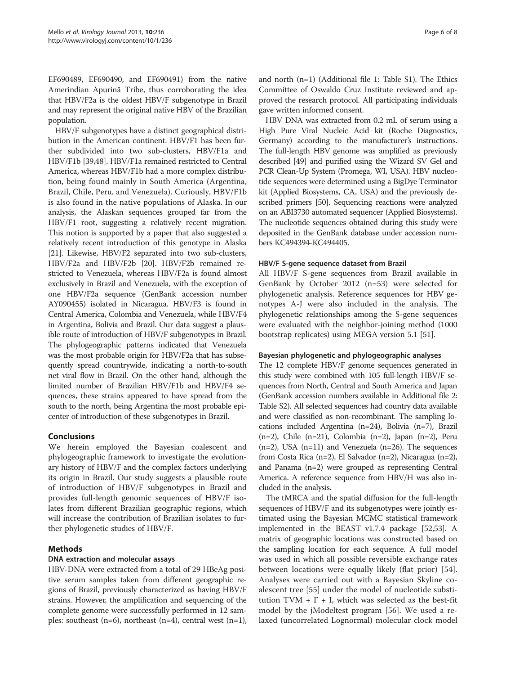EF690489, EF690490, and EF690491) from the native Amerindian Apurinã Tribe, thus corroborating the idea that HBV/F2a is the oldest HBV/F subgenotype in Brazil and may represent the original native HBV of the Brazilian population.

HBV/F subgenotypes have a distinct geographical distribution in the American continent. HBV/F1 has been further subdivided into two sub-clusters, HBV/F1a and HBV/F1b [[39,48\]](#page-7-0). HBV/F1a remained restricted to Central America, whereas HBV/F1b had a more complex distribution, being found mainly in South America (Argentina, Brazil, Chile, Peru, and Venezuela). Curiously, HBV/F1b is also found in the native populations of Alaska. In our analysis, the Alaskan sequences grouped far from the HBV/F1 root, suggesting a relatively recent migration. This notion is supported by a paper that also suggested a relatively recent introduction of this genotype in Alaska [[21](#page-6-0)]. Likewise, HBV/F2 separated into two sub-clusters, HBV/F2a and HBV/F2b [\[20](#page-6-0)]. HBV/F2b remained restricted to Venezuela, whereas HBV/F2a is found almost exclusively in Brazil and Venezuela, with the exception of one HBV/F2a sequence (GenBank accession number AY090455) isolated in Nicaragua. HBV/F3 is found in Central America, Colombia and Venezuela, while HBV/F4 in Argentina, Bolivia and Brazil. Our data suggest a plausible route of introduction of HBV/F subgenotypes in Brazil. The phylogeographic patterns indicated that Venezuela was the most probable origin for HBV/F2a that has subsequently spread countrywide, indicating a north-to-south net viral flow in Brazil. On the other hand, although the limited number of Brazilian HBV/F1b and HBV/F4 sequences, these strains appeared to have spread from the south to the north, being Argentina the most probable epicenter of introduction of these subgenotypes in Brazil.

# **Conclusions**

We herein employed the Bayesian coalescent and phylogeographic framework to investigate the evolutionary history of HBV/F and the complex factors underlying its origin in Brazil. Our study suggests a plausible route of introduction of HBV/F subgenotypes in Brazil and provides full-length genomic sequences of HBV/F isolates from different Brazilian geographic regions, which will increase the contribution of Brazilian isolates to further phylogenetic studies of HBV/F.

# Methods

### DNA extraction and molecular assays

HBV-DNA were extracted from a total of 29 HBeAg positive serum samples taken from different geographic regions of Brazil, previously characterized as having HBV/F strains. However, the amplification and sequencing of the complete genome were successfully performed in 12 samples: southeast (n=6), northeast (n=4), central west (n=1),

and north (n=1) (Additional file [1:](#page-6-0) Table S1). The Ethics Committee of Oswaldo Cruz Institute reviewed and approved the research protocol. All participating individuals gave written informed consent.

HBV DNA was extracted from 0.2 mL of serum using a High Pure Viral Nucleic Acid kit (Roche Diagnostics, Germany) according to the manufacturer's instructions. The full-length HBV genome was amplified as previously described [[49](#page-7-0)] and purified using the Wizard SV Gel and PCR Clean-Up System (Promega, WI, USA). HBV nucleotide sequences were determined using a BigDye Terminator kit (Applied Biosystems, CA, USA) and the previously described primers [\[50\]](#page-7-0). Sequencing reactions were analyzed on an ABI3730 automated sequencer (Applied Biosystems). The nucleotide sequences obtained during this study were deposited in the GenBank database under accession numbers KC494394-KC494405.

#### HBV/F S-gene sequence dataset from Brazil

All HBV/F S-gene sequences from Brazil available in GenBank by October 2012 (n=53) were selected for phylogenetic analysis. Reference sequences for HBV genotypes A-J were also included in the analysis. The phylogenetic relationships among the S-gene sequences were evaluated with the neighbor-joining method (1000 bootstrap replicates) using MEGA version 5.1 [[51\]](#page-7-0).

#### Bayesian phylogenetic and phylogeographic analyses

The 12 complete HBV/F genome sequences generated in this study were combined with 105 full-length HBV/F sequences from North, Central and South America and Japan (GenBank accession numbers available in Additional file [2](#page-6-0): Table S2). All selected sequences had country data available and were classified as non-recombinant. The sampling locations included Argentina (n=24), Bolivia (n=7), Brazil (n=2), Chile (n=21), Colombia (n=2), Japan (n=2), Peru  $(n=2)$ , USA  $(n=11)$  and Venezuela  $(n=26)$ . The sequences from Costa Rica (n=2), El Salvador (n=2), Nicaragua (n=2), and Panama (n=2) were grouped as representing Central America. A reference sequence from HBV/H was also included in the analysis.

The tMRCA and the spatial diffusion for the full-length sequences of HBV/F and its subgenotypes were jointly estimated using the Bayesian MCMC statistical framework implemented in the BEAST v1.7.4 package [\[52,53\]](#page-7-0). A matrix of geographic locations was constructed based on the sampling location for each sequence. A full model was used in which all possible reversible exchange rates between locations were equally likely (flat prior) [\[54](#page-7-0)]. Analyses were carried out with a Bayesian Skyline coalescent tree [[55\]](#page-7-0) under the model of nucleotide substitution  $TVM + \Gamma + I$ , which was selected as the best-fit model by the jModeltest program [[56\]](#page-7-0). We used a relaxed (uncorrelated Lognormal) molecular clock model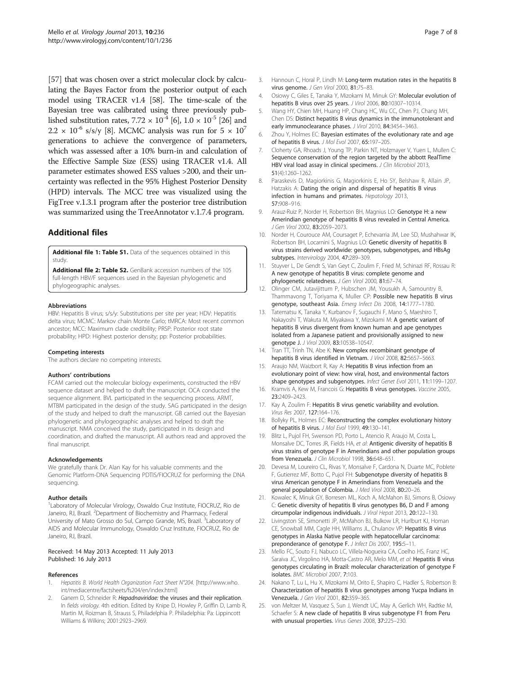<span id="page-6-0"></span>[[57\]](#page-7-0) that was chosen over a strict molecular clock by calculating the Bayes Factor from the posterior output of each model using TRACER v1.4 [\[58\]](#page-7-0). The time-scale of the Bayesian tree was calibrated using three previously published substitution rates,  $7.72 \times 10^{-4}$  [6],  $1.0 \times 10^{-5}$  [[26\]](#page-7-0) and  $2.2 \times 10^{-6}$  s/s/y [8]. MCMC analysis was run for  $5 \times 10^{7}$ generations to achieve the convergence of parameters, which was assessed after a 10% burn-in and calculation of the Effective Sample Size (ESS) using TRACER v1.4. All parameter estimates showed ESS values >200, and their uncertainty was reflected in the 95% Highest Posterior Density (HPD) intervals. The MCC tree was visualized using the FigTree v.1.3.1 program after the posterior tree distribution was summarized using the TreeAnnotator v.1.7.4 program.

# Additional files

[Additional file 1: Table S1.](http://www.biomedcentral.com/content/supplementary/1743-422X-10-236-S1.doc) Data of the sequences obtained in this study.

[Additional file 2: Table S2.](http://www.biomedcentral.com/content/supplementary/1743-422X-10-236-S2.doc) GenBank accession numbers of the 105 full-length HBV/F sequences used in the Bayesian phylogenetic and phylogeographic analyses.

#### Abbreviations

HBV: Hepatitis B virus; s/s/y: Substitutions per site per year; HDV: Hepatitis delta virus; MCMC: Markov chain Monte Carlo; tMRCA: Most recent common ancestor; MCC: Maximum clade credibility; PRSP: Posterior root state probability; HPD: Highest posterior density; pp: Posterior probabilities.

#### Competing interests

The authors declare no competing interests.

#### Authors' contributions

FCAM carried out the molecular biology experiments, constructed the HBV sequence dataset and helped to draft the manuscript. OCA conducted the sequence alignment. BVL participated in the sequencing process. ARMT, MTBM participated in the design of the study. SAG participated in the design of the study and helped to draft the manuscript. GB carried out the Bayesian phylogenetic and phylogeographic analyses and helped to draft the manuscript. NMA conceived the study, participated in its design and coordination, and drafted the manuscript. All authors read and approved the final manuscript.

#### Acknowledgements

We gratefully thank Dr. Alan Kay for his valuable comments and the Genomic Platform-DNA Sequencing PDTIS/FIOCRUZ for performing the DNA sequencing.

#### Author details

<sup>1</sup> Laboratory of Molecular Virology, Oswaldo Cruz Institute, FIOCRUZ, Rio de Janeiro, RJ, Brazil. <sup>2</sup>Department of Biochemistry and Pharmacy, Federal University of Mato Grosso do Sul, Campo Grande, MS, Brazil. <sup>3</sup>Laboratory of AIDS and Molecular Immunology, Oswaldo Cruz Institute, FIOCRUZ, Rio de Janeiro, RJ, Brazil.

#### Received: 14 May 2013 Accepted: 11 July 2013 Published: 16 July 2013

#### References

- Hepatitis B. World Health Organization Fact Sheet N°204. [\[http://www.who.](http://www.who.int/mediacentre/factsheets/fs204/en/index.html) [int/mediacentre/factsheets/fs204/en/index.html\]](http://www.who.int/mediacentre/factsheets/fs204/en/index.html)
- Ganem D, Schneider R: Hepadnaviridae: the viruses and their replication. In fields virology. 4th edition. Edited by Knipe D, Howley P, Griffin D, Lamb R, Martin M, Roizman B, Strauss S, Philadelphia P. Philadelphia: Pa: Lippincott Williams & Wilkins; 2001:2923–2969.
- 3. Hannoun C, Horal P, Lindh M: Long-term mutation rates in the hepatitis B virus genome. J Gen Virol 2000, 81:75-83.
- 4. Osiowy C, Giles E, Tanaka Y, Mizokami M, Minuk GY: Molecular evolution of hepatitis B virus over 25 years. J Virol 2006, 80:10307–10314.
- 5. Wang HY, Chien MH, Huang HP, Chang HC, Wu CC, Chen PJ, Chang MH, Chen DS: Distinct hepatitis B virus dynamics in the immunotolerant and early immunoclearance phases. J Virol 2010, 84:3454-3463.
- 6. Zhou Y, Holmes EC: Bayesian estimates of the evolutionary rate and age of hepatitis B virus. J Mol Evol 2007, 65:197–205.
- 7. Cloherty GA, Rhoads J, Young TP, Parkin NT, Holzmayer V, Yuen L, Mullen C: Sequence conservation of the region targeted by the abbott RealTime HBV viral load assay in clinical specimens. J Clin Microbiol 2013, 51(4):1260–1262.
- 8. Paraskevis D, Magiorkinis G, Magiorkinis E, Ho SY, Belshaw R, Allain JP, Hatzakis A: Dating the origin and dispersal of hepatitis B virus infection in humans and primates. Hepatology 2013, 57:908–916.
- 9. Arauz-Ruiz P, Norder H, Robertson BH, Magnius LO: Genotype H: a new Amerindian genotype of hepatitis B virus revealed in Central America. J Gen Virol 2002, 83:2059–2073.
- 10. Norder H, Courouce AM, Coursaget P, Echevarria JM, Lee SD, Mushahwar IK, Robertson BH, Locarnini S, Magnius LO: Genetic diversity of hepatitis B virus strains derived worldwide: genotypes, subgenotypes, and HBsAg subtypes. Intervirology 2004, 47:289–309.
- 11. Stuyver L, De Gendt S, Van Geyt C, Zoulim F, Fried M, Schinazi RF, Rossau R: A new genotype of hepatitis B virus: complete genome and phylogenetic relatedness. J Gen Virol 2000, 81:67–74.
- 12. Olinger CM, Jutavijittum P, Hubschen JM, Yousukh A, Samountry B, Thammavong T, Toriyama K, Muller CP: Possible new hepatitis B virus genotype, southeast Asia. Emerg Infect Dis 2008, 14:1777–1780.
- 13. Tatematsu K, Tanaka Y, Kurbanov F, Sugauchi F, Mano S, Maeshiro T, Nakayoshi T, Wakuta M, Miyakawa Y, Mizokami M: A genetic variant of hepatitis B virus divergent from known human and ape genotypes isolated from a Japanese patient and provisionally assigned to new genotype J. J Virol 2009, 83:10538–10547.
- 14. Tran TT, Trinh TN, Abe K: New complex recombinant genotype of hepatitis B virus identified in Vietnam. J Virol 2008, 82:5657–5663.
- 15. Araujo NM, Waizbort R, Kay A: Hepatitis B virus infection from an evolutionary point of view: how viral, host, and environmental factors shape genotypes and subgenotypes. Infect Genet Evol 2011, 11:1199–1207.
- 16. Kramvis A, Kew M, Francois G: Hepatitis B virus genotypes. Vaccine 2005, 23:2409–2423.
- 17. Kay A, Zoulim F: Hepatitis B virus genetic variability and evolution. Virus Res 2007, 127:164–176.
- 18. Bollyky PL, Holmes EC: Reconstructing the complex evolutionary history of hepatitis B virus. J Mol Evol 1999, 49:130–141.
- 19. Blitz L, Pujol FH, Swenson PD, Porto L, Atencio R, Araujo M, Costa L, Monsalve DC, Torres JR, Fields HA, et al: Antigenic diversity of hepatitis B virus strains of genotype F in Amerindians and other population groups from Venezuela. J Clin Microbiol 1998, 36:648-651.
- 20. Devesa M, Loureiro CL, Rivas Y, Monsalve F, Cardona N, Duarte MC, Poblete F, Gutierrez MF, Botto C, Pujol FH: Subgenotype diversity of hepatitis B virus American genotype F in Amerindians from Venezuela and the general population of Colombia. J Med Virol 2008, 80:20–26.
- 21. Kowalec K, Minuk GY, Borresen ML, Koch A, McMahon BJ, Simons B, Osiowy C: Genetic diversity of hepatitis B virus genotypes B6, D and F among circumpolar indigenous individuals. J Viral Hepat 2013, 20:122–130.
- 22. Livingston SE, Simonetti JP, McMahon BJ, Bulkow LR, Hurlburt KJ, Homan CE, Snowball MM, Cagle HH, Williams JL, Chulanov VP: Hepatitis B virus genotypes in Alaska Native people with hepatocellular carcinoma: preponderance of genotype F. J Infect Dis 2007, 195:5–11.
- 23. Mello FC, Souto FJ, Nabuco LC, Villela-Nogueira CA, Coelho HS, Franz HC, Saraiva JC, Virgolino HA, Motta-Castro AR, Melo MM, et al: Hepatitis B virus genotypes circulating in Brazil: molecular characterization of genotype F isolates. BMC Microbiol 2007, 7:103.
- 24. Nakano T, Lu L, Hu X, Mizokami M, Orito E, Shapiro C, Hadler S, Robertson B: Characterization of hepatitis B virus genotypes among Yucpa Indians in Venezuela. J Gen Virol 2001, 82:359–365.
- 25. von Meltzer M, Vasquez S, Sun J, Wendt UC, May A, Gerlich WH, Radtke M, Schaefer S: A new clade of hepatitis B virus subgenotype F1 from Peru with unusual properties. Virus Genes 2008, 37:225–230.